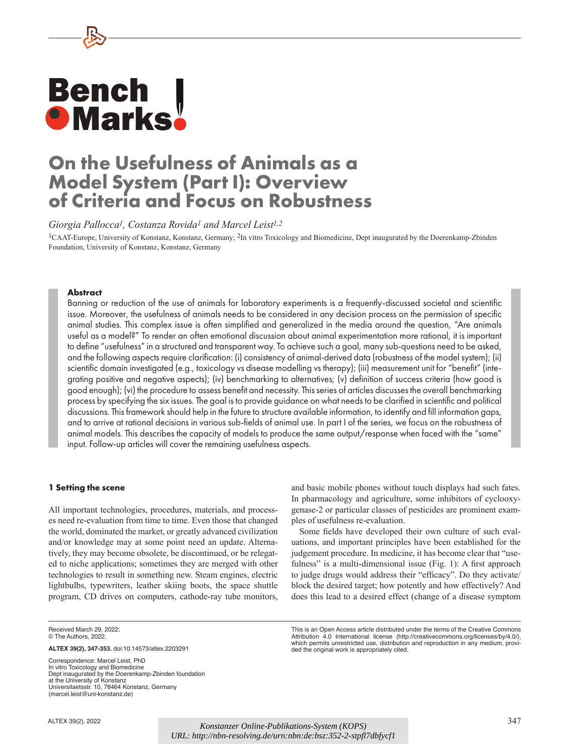# **Bench<br>• Marks**

# **On the Usefulness of Animals as a Model System (Part I): Overview of Criteria and Focus on Robustness**

*Giorgia Pallocca1, Costanza Rovida1 and Marcel Leist1,2*

<sup>1</sup>CAAT-Europe, University of Konstanz, Konstanz, Germany; <sup>2</sup>In vitro Toxicology and Biomedicine, Dept inaugurated by the Doerenkamp-Zbinden Foundation, University of Konstanz, Konstanz, Germany

# **Abstract**

Banning or reduction of the use of animals for laboratory experiments is a frequently-discussed societal and scientific issue. Moreover, the usefulness of animals needs to be considered in any decision process on the permission of specific animal studies. This complex issue is often simplified and generalized in the media around the question, "Are animals useful as a model?" To render an often emotional discussion about animal experimentation more rational, it is important to define "usefulness" in a structured and transparent way. To achieve such a goal, many sub-questions need to be asked, and the following aspects require clarification: (i) consistency of animal-derived data (robustness of the model system); (ii) scientific domain investigated (e.g., toxicology vs disease modelling vs therapy); (iii) measurement unit for "benefit" (integrating positive and negative aspects); (iv) benchmarking to alternatives; (v) definition of success criteria (how good is good enough); (vi) the procedure to assess benefit and necessity. This series of articles discusses the overall benchmarking process by specifying the six issues. The goal is to provide guidance on what needs to be clarified in scientific and political discussions. This framework should help in the future to structure available information, to identify and fill information gaps, and to arrive at rational decisions in various sub-fields of animal use. In part I of the series, we focus on the robustness of animal models. This describes the capacity of models to produce the same output/response when faced with the "same" input. Follow-up articles will cover the remaining usefulness aspects.

#### **1 Setting the scene**

All important technologies, procedures, materials, and processes need re-evaluation from time to time. Even those that changed the world, dominated the market, or greatly advanced civilization and/or knowledge may at some point need an update. Alternatively, they may become obsolete, be discontinued, or be relegated to niche applications; sometimes they are merged with other technologies to result in something new. Steam engines, electric lightbulbs, typewriters, leather skiing boots, the space shuttle program, CD drives on computers, cathode-ray tube monitors, and basic mobile phones without touch displays had such fates. In pharmacology and agriculture, some inhibitors of cyclooxygenase-2 or particular classes of pesticides are prominent examples of usefulness re-evaluation.

Some fields have developed their own culture of such evaluations, and important principles have been established for the judgement procedure. In medicine, it has become clear that "usefulness" is a multi-dimensional issue (Fig. 1): A first approach to judge drugs would address their "efficacy". Do they activate/ block the desired target; how potently and how effectively? And does this lead to a desired effect (change of a disease symptom

Received March 29, 2022; © The Authors, 2022.

Correspondence: Marcel Leist, PhD In vitro Toxicology and Biomedicine Dept inaugurated by the Doerenkamp-Zbinden foundation at the University of Konstanz Universitaetsstr. 10, 78464 Konstanz, Germany (marcel.leist@uni-konstanz.de)

This is an Open Access article distributed under the terms of the Creative Commons Attribution 4.0 International license ([http://creativecommons.org/licenses/by/](http://creativecommons.org/licenses/by/4.0/)4.0/), which permits unrestricted use, distribution and reproduction in any medium, provided the original work is appropriately cited.

**ALTEX 39(2), 347-353.** [doi:10.14573/altex.2203291](https://doi.org/10.14573/altex.2203291)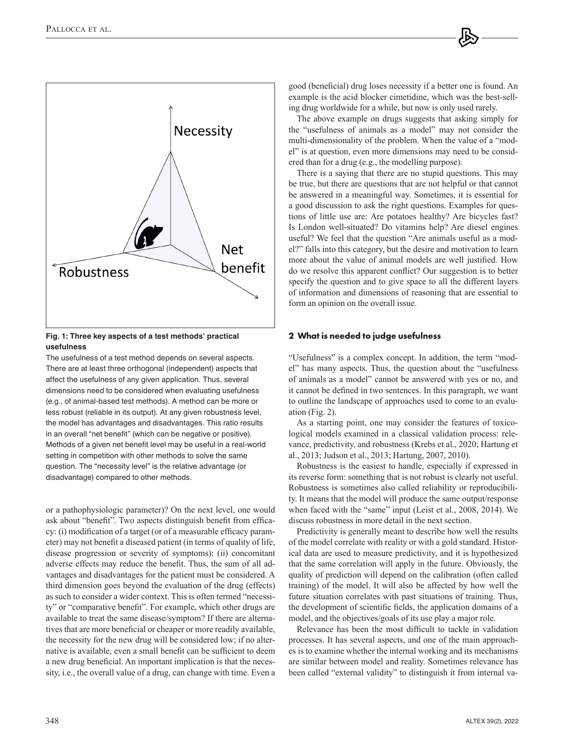

# **Fig. 1: Three key aspects of a test methods' practical usefulness**

The usefulness of a test method depends on several aspects. There are at least three orthogonal (independent) aspects that affect the usefulness of any given application. Thus, several dimensions need to be considered when evaluating usefulness (e.g., of animal-based test methods). A method can be more or less robust (reliable in its output). At any given robustness level, the model has advantages and disadvantages. This ratio results in an overall "net benefit" (which can be negative or positive). Methods of a given net benefit level may be useful in a real-world setting in competition with other methods to solve the same question. The "necessity level" is the relative advantage (or disadvantage) compared to other methods.

or a pathophysiologic parameter)? On the next level, one would ask about "benefit". Two aspects distinguish benefit from efficacy: (i) modification of a target (or of a measurable efficacy parameter) may not benefit a diseased patient (in terms of quality of life, disease progression or severity of symptoms): (ii) concomitant adverse effects may reduce the benefit. Thus, the sum of all advantages and disadvantages for the patient must be considered. A third dimension goes beyond the evaluation of the drug (effects) as such to consider a wider context. This is often termed "necessity" or "comparative benefit". For example, which other drugs are available to treat the same disease/symptom? If there are alternatives that are more beneficial or cheaper or more readily available, the necessity for the new drug will be considered low; if no alternative is available, even a small benefit can be sufficient to deem a new drug beneficial. An important implication is that the necessity, i.e., the overall value of a drug, can change with time. Even a good (beneficial) drug loses necessity if a better one is found. An example is the acid blocker cimetidine, which was the best-selling drug worldwide for a while, but now is only used rarely.

The above example on drugs suggests that asking simply for the "usefulness of animals as a model" may not consider the multi-dimensionality of the problem. When the value of a "model" is at question, even more dimensions may need to be considered than for a drug (e.g., the modelling purpose).

There is a saying that there are no stupid questions. This may be true, but there are questions that are not helpful or that cannot be answered in a meaningful way. Sometimes, it is essential for a good discussion to ask the right questions. Examples for questions of little use are: Are potatoes healthy? Are bicycles fast? Is London well-situated? Do vitamins help? Are diesel engines useful? We feel that the question "Are animals useful as a model?" falls into this category, but the desire and motivation to learn more about the value of animal models are well justified. How do we resolve this apparent conflict? Our suggestion is to better specify the question and to give space to all the different layers of information and dimensions of reasoning that are essential to form an opinion on the overall issue.

# **2 What is needed to judge usefulness**

"Usefulness" is a complex concept. In addition, the term "model" has many aspects. Thus, the question about the "usefulness of animals as a model" cannot be answered with yes or no, and it cannot be defined in two sentences. In this paragraph, we want to outline the landscape of approaches used to come to an evaluation (Fig. 2).

As a starting point, one may consider the features of toxicological models examined in a classical validation process: relevance, predictivity, and robustness (Krebs et al., 2020; Hartung et al., 2013; Judson et al., 2013; Hartung, 2007, 2010).

Robustness is the easiest to handle, especially if expressed in its reverse form: something that is not robust is clearly not useful. Robustness is sometimes also called reliability or reproducibility. It means that the model will produce the same output/response when faced with the "same" input (Leist et al., 2008, 2014). We discuss robustness in more detail in the next section.

Predictivity is generally meant to describe how well the results of the model correlate with reality or with a gold standard. Historical data are used to measure predictivity, and it is hypothesized that the same correlation will apply in the future. Obviously, the quality of prediction will depend on the calibration (often called training) of the model. It will also be affected by how well the future situation correlates with past situations of training. Thus, the development of scientific fields, the application domains of a model, and the objectives/goals of its use play a major role.

Relevance has been the most difficult to tackle in validation processes. It has several aspects, and one of the main approaches is to examine whether the internal working and its mechanisms are similar between model and reality. Sometimes relevance has been called "external validity" to distinguish it from internal va-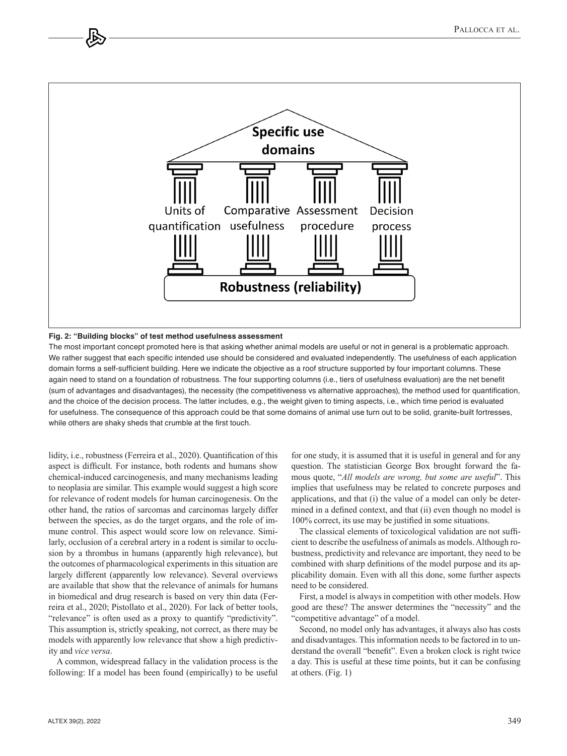

#### **Fig. 2: "Building blocks" of test method usefulness assessment**

The most important concept promoted here is that asking whether animal models are useful or not in general is a problematic approach. We rather suggest that each specific intended use should be considered and evaluated independently. The usefulness of each application domain forms a self-sufficient building. Here we indicate the objective as a roof structure supported by four important columns. These again need to stand on a foundation of robustness. The four supporting columns (i.e., tiers of usefulness evaluation) are the net benefit (sum of advantages and disadvantages), the necessity (the competitiveness vs alternative approaches), the method used for quantification, and the choice of the decision process. The latter includes, e.g., the weight given to timing aspects, i.e., which time period is evaluated for usefulness. The consequence of this approach could be that some domains of animal use turn out to be solid, granite-built fortresses, while others are shaky sheds that crumble at the first touch.

lidity, i.e., robustness (Ferreira et al., 2020). Quantification of this aspect is difficult. For instance, both rodents and humans show chemical-induced carcinogenesis, and many mechanisms leading to neoplasia are similar. This example would suggest a high score for relevance of rodent models for human carcinogenesis. On the other hand, the ratios of sarcomas and carcinomas largely differ between the species, as do the target organs, and the role of immune control. This aspect would score low on relevance. Similarly, occlusion of a cerebral artery in a rodent is similar to occlusion by a thrombus in humans (apparently high relevance), but the outcomes of pharmacological experiments in this situation are largely different (apparently low relevance). Several overviews are available that show that the relevance of animals for humans in biomedical and drug research is based on very thin data (Ferreira et al., 2020; Pistollato et al., 2020). For lack of better tools, "relevance" is often used as a proxy to quantify "predictivity". This assumption is, strictly speaking, not correct, as there may be models with apparently low relevance that show a high predictivity and *vice versa*.

A common, widespread fallacy in the validation process is the following: If a model has been found (empirically) to be useful

for one study, it is assumed that it is useful in general and for any question. The statistician George Box brought forward the famous quote, "*All models are wrong, but some are useful*". This implies that usefulness may be related to concrete purposes and applications, and that (i) the value of a model can only be determined in a defined context, and that (ii) even though no model is 100% correct, its use may be justified in some situations.

The classical elements of toxicological validation are not sufficient to describe the usefulness of animals as models. Although robustness, predictivity and relevance are important, they need to be combined with sharp definitions of the model purpose and its applicability domain. Even with all this done, some further aspects need to be considered.

First, a model is always in competition with other models. How good are these? The answer determines the "necessity" and the "competitive advantage" of a model.

Second, no model only has advantages, it always also has costs and disadvantages. This information needs to be factored in to understand the overall "benefit". Even a broken clock is right twice a day. This is useful at these time points, but it can be confusing at others. (Fig. 1)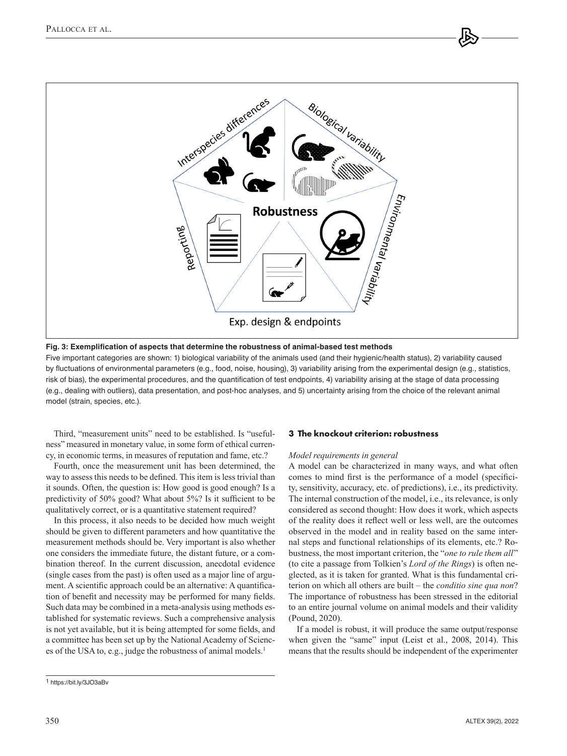

**Fig. 3: Exemplification of aspects that determine the robustness of animal-based test methods**

Five important categories are shown: 1) biological variability of the animals used (and their hygienic/health status), 2) variability caused by fluctuations of environmental parameters (e.g., food, noise, housing), 3) variability arising from the experimental design (e.g., statistics, risk of bias), the experimental procedures, and the quantification of test endpoints, 4) variability arising at the stage of data processing (e.g., dealing with outliers), data presentation, and post-hoc analyses, and 5) uncertainty arising from the choice of the relevant animal model (strain, species, etc.).

Third, "measurement units" need to be established. Is "usefulness" measured in monetary value, in some form of ethical currency, in economic terms, in measures of reputation and fame, etc.?

Fourth, once the measurement unit has been determined, the way to assess this needs to be defined. This item is less trivial than it sounds. Often, the question is: How good is good enough? Is a predictivity of 50% good? What about 5%? Is it sufficient to be qualitatively correct, or is a quantitative statement required?

In this process, it also needs to be decided how much weight should be given to different parameters and how quantitative the measurement methods should be. Very important is also whether one considers the immediate future, the distant future, or a combination thereof. In the current discussion, anecdotal evidence (single cases from the past) is often used as a major line of argument. A scientific approach could be an alternative: A quantification of benefit and necessity may be performed for many fields. Such data may be combined in a meta-analysis using methods established for systematic reviews. Such a comprehensive analysis is not yet available, but it is being attempted for some fields, and a committee has been set up by the National Academy of Sciences of the USA to, e.g., judge the robustness of animal models.<sup>1</sup>

# **3 The knockout criterion: robustness**

#### *Model requirements in general*

A model can be characterized in many ways, and what often comes to mind first is the performance of a model (specificity, sensitivity, accuracy, etc. of predictions), i.e., its predictivity. The internal construction of the model, i.e., its relevance, is only considered as second thought: How does it work, which aspects of the reality does it reflect well or less well, are the outcomes observed in the model and in reality based on the same internal steps and functional relationships of its elements, etc.? Robustness, the most important criterion, the "*one to rule them all*" (to cite a passage from Tolkien's *Lord of the Rings*) is often neglected, as it is taken for granted. What is this fundamental criterion on which all others are built – the *conditio sine qua non*? The importance of robustness has been stressed in the editorial to an entire journal volume on animal models and their validity (Pound, 2020).

If a model is robust, it will produce the same output/response when given the "same" input (Leist et al., 2008, 2014). This means that the results should be independent of the experimenter

<sup>1</sup> <https://bit.ly/3JO3aBv>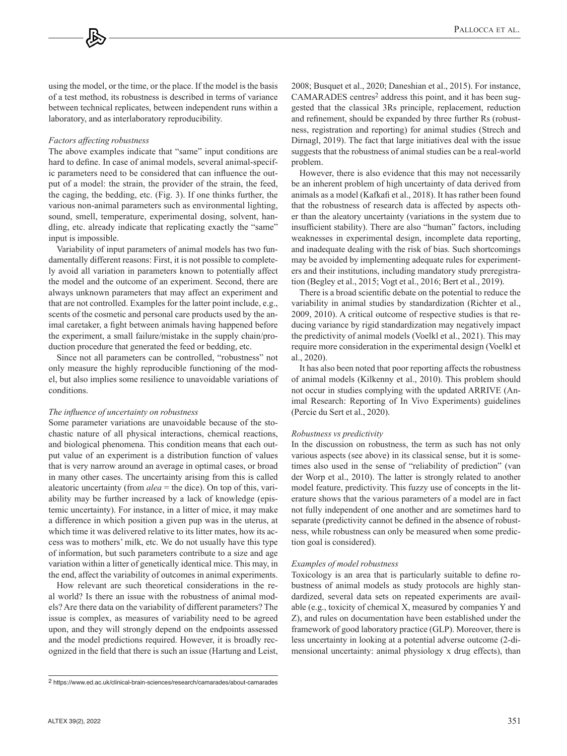using the model, or the time, or the place. If the model is the basis of a test method, its robustness is described in terms of variance between technical replicates, between independent runs within a laboratory, and as interlaboratory reproducibility.

#### *Factors affecting robustness*

The above examples indicate that "same" input conditions are hard to define. In case of animal models, several animal-specific parameters need to be considered that can influence the output of a model: the strain, the provider of the strain, the feed, the caging, the bedding, etc. (Fig. 3). If one thinks further, the various non-animal parameters such as environmental lighting, sound, smell, temperature, experimental dosing, solvent, handling, etc. already indicate that replicating exactly the "same" input is impossible.

Variability of input parameters of animal models has two fundamentally different reasons: First, it is not possible to completely avoid all variation in parameters known to potentially affect the model and the outcome of an experiment. Second, there are always unknown parameters that may affect an experiment and that are not controlled. Examples for the latter point include, e.g., scents of the cosmetic and personal care products used by the animal caretaker, a fight between animals having happened before the experiment, a small failure/mistake in the supply chain/production procedure that generated the feed or bedding, etc.

Since not all parameters can be controlled, "robustness" not only measure the highly reproducible functioning of the model, but also implies some resilience to unavoidable variations of conditions.

#### *The influence of uncertainty on robustness*

Some parameter variations are unavoidable because of the stochastic nature of all physical interactions, chemical reactions, and biological phenomena. This condition means that each output value of an experiment is a distribution function of values that is very narrow around an average in optimal cases, or broad in many other cases. The uncertainty arising from this is called aleatoric uncertainty (from *alea* = the dice). On top of this, variability may be further increased by a lack of knowledge (epistemic uncertainty). For instance, in a litter of mice, it may make a difference in which position a given pup was in the uterus, at which time it was delivered relative to its litter mates, how its access was to mothers' milk, etc. We do not usually have this type of information, but such parameters contribute to a size and age variation within a litter of genetically identical mice. This may, in the end, affect the variability of outcomes in animal experiments.

How relevant are such theoretical considerations in the real world? Is there an issue with the robustness of animal models? Are there data on the variability of different parameters? The issue is complex, as measures of variability need to be agreed upon, and they will strongly depend on the endpoints assessed and the model predictions required. However, it is broadly recognized in the field that there is such an issue (Hartung and Leist,

2008; Busquet et al., 2020; Daneshian et al., 2015). For instance, CAMARADES centres<sup>2</sup> address this point, and it has been suggested that the classical 3Rs principle, replacement, reduction and refinement, should be expanded by three further Rs (robustness, registration and reporting) for animal studies (Strech and Dirnagl, 2019). The fact that large initiatives deal with the issue suggests that the robustness of animal studies can be a real-world problem.

However, there is also evidence that this may not necessarily be an inherent problem of high uncertainty of data derived from animals as a model (Kafkafi et al., 2018). It has rather been found that the robustness of research data is affected by aspects other than the aleatory uncertainty (variations in the system due to insufficient stability). There are also "human" factors, including weaknesses in experimental design, incomplete data reporting, and inadequate dealing with the risk of bias. Such shortcomings may be avoided by implementing adequate rules for experimenters and their institutions, including mandatory study preregistration (Begley et al., 2015; Vogt et al., 2016; Bert et al., 2019).

There is a broad scientific debate on the potential to reduce the variability in animal studies by standardization (Richter et al., 2009, 2010). A critical outcome of respective studies is that reducing variance by rigid standardization may negatively impact the predictivity of animal models (Voelkl et al., 2021). This may require more consideration in the experimental design (Voelkl et al., 2020).

It has also been noted that poor reporting affects the robustness of animal models (Kilkenny et al., 2010). This problem should not occur in studies complying with the updated ARRIVE (Animal Research: Reporting of In Vivo Experiments) guidelines (Percie du Sert et al., 2020).

#### *Robustness vs predictivity*

In the discussion on robustness, the term as such has not only various aspects (see above) in its classical sense, but it is sometimes also used in the sense of "reliability of prediction" (van der Worp et al., 2010). The latter is strongly related to another model feature, predictivity. This fuzzy use of concepts in the literature shows that the various parameters of a model are in fact not fully independent of one another and are sometimes hard to separate (predictivity cannot be defined in the absence of robustness, while robustness can only be measured when some prediction goal is considered).

#### *Examples of model robustness*

Toxicology is an area that is particularly suitable to define robustness of animal models as study protocols are highly standardized, several data sets on repeated experiments are available (e.g., toxicity of chemical X, measured by companies Y and Z), and rules on documentation have been established under the framework of good laboratory practice (GLP). Moreover, there is less uncertainty in looking at a potential adverse outcome (2-dimensional uncertainty: animal physiology x drug effects), than

<sup>2</sup> <https://www.ed.ac.uk/clinical-brain-sciences/research/camarades/about-camarades>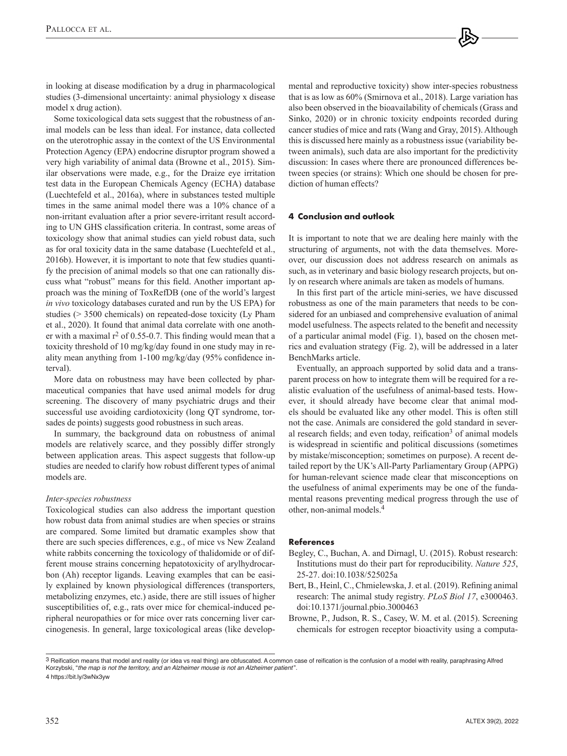Some toxicological data sets suggest that the robustness of animal models can be less than ideal. For instance, data collected on the uterotrophic assay in the context of the US Environmental Protection Agency (EPA) endocrine disruptor program showed a very high variability of animal data (Browne et al., 2015). Similar observations were made, e.g., for the Draize eye irritation test data in the European Chemicals Agency (ECHA) database (Luechtefeld et al., 2016a), where in substances tested multiple times in the same animal model there was a 10% chance of a non-irritant evaluation after a prior severe-irritant result according to UN GHS classification criteria. In contrast, some areas of toxicology show that animal studies can yield robust data, such as for oral toxicity data in the same database (Luechtefeld et al., 2016b). However, it is important to note that few studies quantify the precision of animal models so that one can rationally discuss what "robust" means for this field. Another important approach was the mining of ToxRefDB (one of the world's largest *in vivo* toxicology databases curated and run by the US EPA) for studies (> 3500 chemicals) on repeated-dose toxicity (Ly Pham et al., 2020). It found that animal data correlate with one another with a maximal  $r^2$  of 0.55-0.7. This finding would mean that a toxicity threshold of 10 mg/kg/day found in one study may in reality mean anything from 1-100 mg/kg/day (95% confidence interval).

More data on robustness may have been collected by pharmaceutical companies that have used animal models for drug screening. The discovery of many psychiatric drugs and their successful use avoiding cardiotoxicity (long QT syndrome, torsades de points) suggests good robustness in such areas.

In summary, the background data on robustness of animal models are relatively scarce, and they possibly differ strongly between application areas. This aspect suggests that follow-up studies are needed to clarify how robust different types of animal models are.

# *Inter-species robustness*

Toxicological studies can also address the important question how robust data from animal studies are when species or strains are compared. Some limited but dramatic examples show that there are such species differences, e.g., of mice vs New Zealand white rabbits concerning the toxicology of thalidomide or of different mouse strains concerning hepatotoxicity of arylhydrocarbon (Ah) receptor ligands. Leaving examples that can be easily explained by known physiological differences (transporters, metabolizing enzymes, etc.) aside, there are still issues of higher susceptibilities of, e.g., rats over mice for chemical-induced peripheral neuropathies or for mice over rats concerning liver carcinogenesis. In general, large toxicological areas (like developmental and reproductive toxicity) show inter-species robustness that is as low as 60% (Smirnova et al., 2018). Large variation has also been observed in the bioavailability of chemicals (Grass and Sinko, 2020) or in chronic toxicity endpoints recorded during cancer studies of mice and rats (Wang and Gray, 2015). Although this is discussed here mainly as a robustness issue (variability between animals), such data are also important for the predictivity discussion: In cases where there are pronounced differences between species (or strains): Which one should be chosen for prediction of human effects?

### **4 Conclusion and outlook**

It is important to note that we are dealing here mainly with the structuring of arguments, not with the data themselves. Moreover, our discussion does not address research on animals as such, as in veterinary and basic biology research projects, but only on research where animals are taken as models of humans.

In this first part of the article mini-series, we have discussed robustness as one of the main parameters that needs to be considered for an unbiased and comprehensive evaluation of animal model usefulness. The aspects related to the benefit and necessity of a particular animal model (Fig. 1), based on the chosen metrics and evaluation strategy (Fig. 2), will be addressed in a later BenchMarks article.

Eventually, an approach supported by solid data and a transparent process on how to integrate them will be required for a realistic evaluation of the usefulness of animal-based tests. However, it should already have become clear that animal models should be evaluated like any other model. This is often still not the case. Animals are considered the gold standard in several research fields; and even today, reification<sup>3</sup> of animal models is widespread in scientific and political discussions (sometimes by mistake/misconception; sometimes on purpose). A recent detailed report by the UK's All-Party Parliamentary Group (APPG) for human-relevant science made clear that misconceptions on the usefulness of animal experiments may be one of the fundamental reasons preventing medical progress through the use of other, non-animal models.4

#### **References**

- Begley, C., Buchan, A. and Dirnagl, U. (2015). Robust research: Institutions must do their part for reproducibility. *Nature 525*, 25-27. [doi:10.1038/525025a](https://doi.org/10.1038/525025a)
- Bert, B., Heinl, C., Chmielewska, J. et al. (2019). Refining animal research: The animal study registry. *PLoS Biol 17*, e3000463. [doi:10.1371/journal.pbio.3000463](https://doi.org/10.1371/journal.pbio.3000463)
- Browne, P., Judson, R. S., Casey, W. M. et al. (2015). Screening chemicals for estrogen receptor bioactivity using a computa-

<sup>3</sup> Reification means that model and reality (or idea vs real thing) are obfuscated. A common case of reification is the confusion of a model with reality, paraphrasing Alfred Korzybski, "*the map is not the territory, and an Alzheimer mouse is not an Alzheimer patient* ".

<sup>4</sup> <https://bit.ly/3wNx3yw>